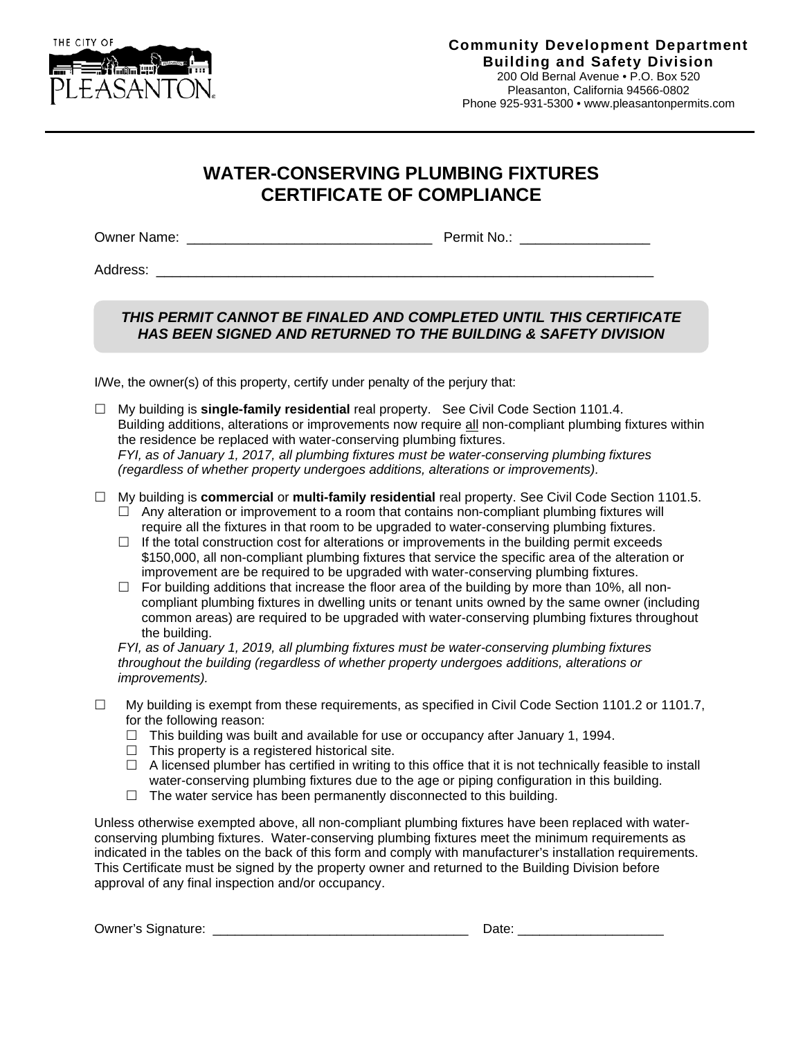

## **WATER-CONSERVING PLUMBING FIXTURES CERTIFICATE OF COMPLIANCE**

Owner Name: \_\_\_\_\_\_\_\_\_\_\_\_\_\_\_\_\_\_\_\_\_\_\_\_\_\_\_\_\_\_\_\_ Permit No.: \_\_\_\_\_\_\_\_\_\_\_\_\_\_\_\_\_

Address: \_\_\_\_\_\_\_\_\_\_\_\_\_\_\_\_\_\_\_\_\_\_\_\_\_\_\_\_\_\_\_\_\_\_\_\_\_\_\_\_\_\_\_\_\_\_\_\_\_\_\_\_\_\_\_\_\_\_\_\_\_\_

## *THIS PERMIT CANNOT BE FINALED AND COMPLETED UNTIL THIS CERTIFICATE HAS BEEN SIGNED AND RETURNED TO THE BUILDING & SAFETY DIVISION*

I/We, the owner(s) of this property, certify under penalty of the perjury that:

- My building is **single-family residential** real property. See Civil Code Section 1101.4. Building additions, alterations or improvements now require all non-compliant plumbing fixtures within the residence be replaced with water-conserving plumbing fixtures. *FYI, as of January 1, 2017, all plumbing fixtures must be water-conserving plumbing fixtures (regardless of whether property undergoes additions, alterations or improvements).*
- My building is **commercial** or **multi-family residential** real property. See Civil Code Section 1101.5.
	- $\Box$  Any alteration or improvement to a room that contains non-compliant plumbing fixtures will require all the fixtures in that room to be upgraded to water-conserving plumbing fixtures.
	- $\Box$  If the total construction cost for alterations or improvements in the building permit exceeds \$150,000, all non-compliant plumbing fixtures that service the specific area of the alteration or improvement are be required to be upgraded with water-conserving plumbing fixtures.
	- $\Box$  For building additions that increase the floor area of the building by more than 10%, all noncompliant plumbing fixtures in dwelling units or tenant units owned by the same owner (including common areas) are required to be upgraded with water-conserving plumbing fixtures throughout the building.

*FYI, as of January 1, 2019, all plumbing fixtures must be water-conserving plumbing fixtures throughout the building (regardless of whether property undergoes additions, alterations or improvements).*

- $\Box$  My building is exempt from these requirements, as specified in Civil Code Section 1101.2 or 1101.7, for the following reason:
	- $\Box$  This building was built and available for use or occupancy after January 1, 1994.
	- $\Box$  This property is a registered historical site.
	- $\Box$  A licensed plumber has certified in writing to this office that it is not technically feasible to install water-conserving plumbing fixtures due to the age or piping configuration in this building.
	- $\Box$  The water service has been permanently disconnected to this building.

Unless otherwise exempted above, all non-compliant plumbing fixtures have been replaced with waterconserving plumbing fixtures. Water-conserving plumbing fixtures meet the minimum requirements as indicated in the tables on the back of this form and comply with manufacturer's installation requirements. This Certificate must be signed by the property owner and returned to the Building Division before approval of any final inspection and/or occupancy.

Owner's Signature: \_\_\_\_\_\_\_\_\_\_\_\_\_\_\_\_\_\_\_\_\_\_\_\_\_\_\_\_\_\_\_\_\_\_\_ Date: \_\_\_\_\_\_\_\_\_\_\_\_\_\_\_\_\_\_\_\_